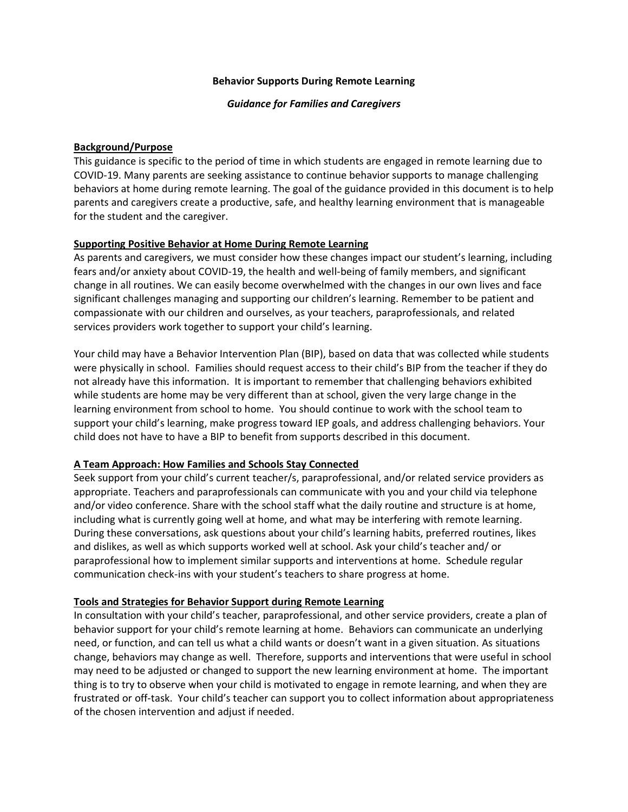#### **Behavior Supports During Remote Learning**

#### *Guidance for Families and Caregivers*

### **Background/Purpose**

This guidance is specific to the period of time in which students are engaged in remote learning due to COVID-19. Many parents are seeking assistance to continue behavior supports to manage challenging behaviors at home during remote learning. The goal of the guidance provided in this document is to help parents and caregivers create a productive, safe, and healthy learning environment that is manageable for the student and the caregiver.

### **Supporting Positive Behavior at Home During Remote Learning**

As parents and caregivers, we must consider how these changes impact our student's learning, including fears and/or anxiety about COVID-19, the health and well-being of family members, and significant change in all routines. We can easily become overwhelmed with the changes in our own lives and face significant challenges managing and supporting our children's learning. Remember to be patient and compassionate with our children and ourselves, as your teachers, paraprofessionals, and related services providers work together to support your child's learning.

Your child may have a Behavior Intervention Plan (BIP), based on data that was collected while students were physically in school. Families should request access to their child's BIP from the teacher if they do not already have this information. It is important to remember that challenging behaviors exhibited while students are home may be very different than at school, given the very large change in the learning environment from school to home. You should continue to work with the school team to support your child's learning, make progress toward IEP goals, and address challenging behaviors. Your child does not have to have a BIP to benefit from supports described in this document.

### **A Team Approach: How Families and Schools Stay Connected**

Seek support from your child's current teacher/s, paraprofessional, and/or related service providers as appropriate. Teachers and paraprofessionals can communicate with you and your child via telephone and/or video conference. Share with the school staff what the daily routine and structure is at home, including what is currently going well at home, and what may be interfering with remote learning. During these conversations, ask questions about your child's learning habits, preferred routines, likes and dislikes, as well as which supports worked well at school. Ask your child's teacher and/ or paraprofessional how to implement similar supports and interventions at home. Schedule regular communication check-ins with your student's teachers to share progress at home.

### **Tools and Strategies for Behavior Support during Remote Learning**

In consultation with your child's teacher, paraprofessional, and other service providers, create a plan of behavior support for your child's remote learning at home. Behaviors can communicate an underlying need, or function, and can tell us what a child wants or doesn't want in a given situation. As situations change, behaviors may change as well. Therefore, supports and interventions that were useful in school may need to be adjusted or changed to support the new learning environment at home. The important thing is to try to observe when your child is motivated to engage in remote learning, and when they are frustrated or off-task. Your child's teacher can support you to collect information about appropriateness of the chosen intervention and adjust if needed.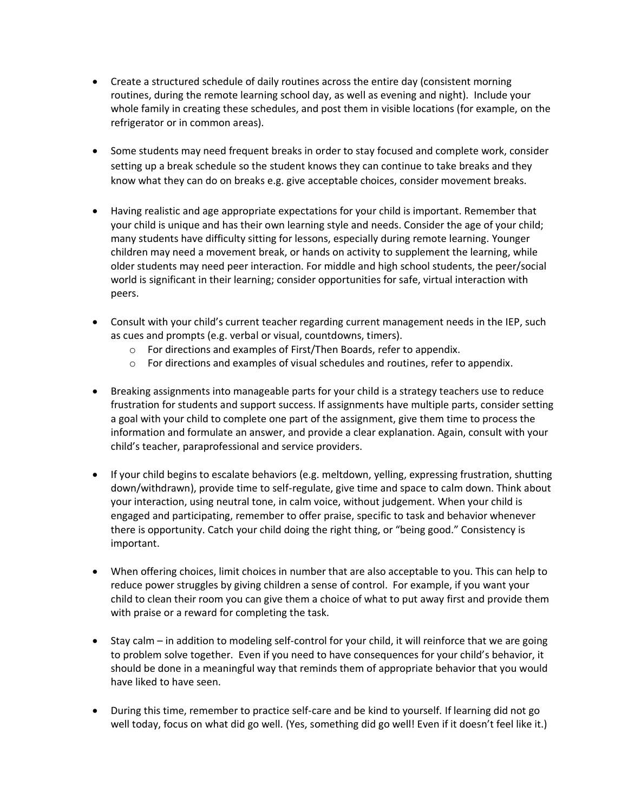- Create a structured schedule of daily routines across the entire day (consistent morning routines, during the remote learning school day, as well as evening and night). Include your whole family in creating these schedules, and post them in visible locations (for example, on the refrigerator or in common areas).
- Some students may need frequent breaks in order to stay focused and complete work, consider setting up a break schedule so the student knows they can continue to take breaks and they know what they can do on breaks e.g. give acceptable choices, consider movement breaks.
- Having realistic and age appropriate expectations for your child is important. Remember that your child is unique and has their own learning style and needs. Consider the age of your child; many students have difficulty sitting for lessons, especially during remote learning. Younger children may need a movement break, or hands on activity to supplement the learning, while older students may need peer interaction. For middle and high school students, the peer/social world is significant in their learning; consider opportunities for safe, virtual interaction with peers.
- Consult with your child's current teacher regarding current management needs in the IEP, such as cues and prompts (e.g. verbal or visual, countdowns, timers).
	- o For directions and examples of First/Then Boards, refer to appendix.
	- o For directions and examples of visual schedules and routines, refer to appendix.
- Breaking assignments into manageable parts for your child is a strategy teachers use to reduce frustration for students and support success. If assignments have multiple parts, consider setting a goal with your child to complete one part of the assignment, give them time to process the information and formulate an answer, and provide a clear explanation. Again, consult with your child's teacher, paraprofessional and service providers.
- If your child begins to escalate behaviors (e.g. meltdown, yelling, expressing frustration, shutting down/withdrawn), provide time to self-regulate, give time and space to calm down. Think about your interaction, using neutral tone, in calm voice, without judgement. When your child is engaged and participating, remember to offer praise, specific to task and behavior whenever there is opportunity. Catch your child doing the right thing, or "being good." Consistency is important.
- When offering choices, limit choices in number that are also acceptable to you. This can help to reduce power struggles by giving children a sense of control. For example, if you want your child to clean their room you can give them a choice of what to put away first and provide them with praise or a reward for completing the task.
- Stay calm in addition to modeling self-control for your child, it will reinforce that we are going to problem solve together. Even if you need to have consequences for your child's behavior, it should be done in a meaningful way that reminds them of appropriate behavior that you would have liked to have seen.
- During this time, remember to practice self-care and be kind to yourself. If learning did not go well today, focus on what did go well. (Yes, something did go well! Even if it doesn't feel like it.)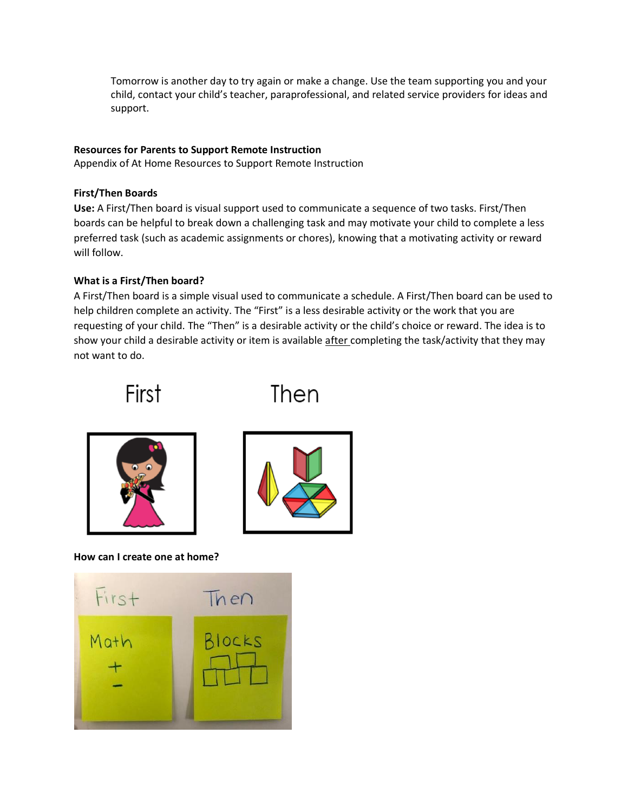Tomorrow is another day to try again or make a change. Use the team supporting you and your child, contact your child's teacher, paraprofessional, and related service providers for ideas and support.

## **Resources for Parents to Support Remote Instruction**

Appendix of At Home Resources to Support Remote Instruction

### **First/Then Boards**

**Use:** A First/Then board is visual support used to communicate a sequence of two tasks. First/Then boards can be helpful to break down a challenging task and may motivate your child to complete a less preferred task (such as academic assignments or chores), knowing that a motivating activity or reward will follow.

# **What is a First/Then board?**

A First/Then board is a simple visual used to communicate a schedule. A First/Then board can be used to help children complete an activity. The "First" is a less desirable activity or the work that you are requesting of your child. The "Then" is a desirable activity or the child's choice or reward. The idea is to show your child a desirable activity or item is available after completing the task/activity that they may not want to do.









**How can I create one at home?** 

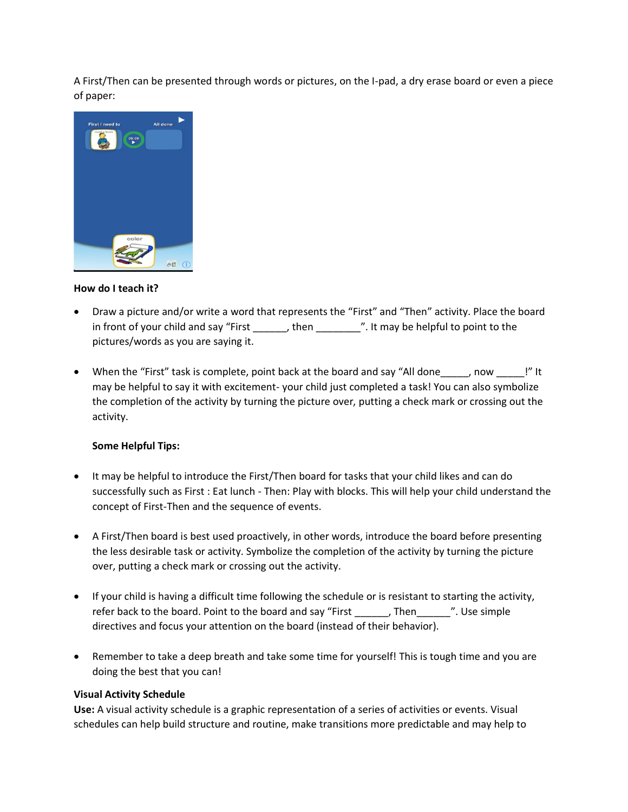A First/Then can be presented through words or pictures, on the I-pad, a dry erase board or even a piece of paper:



#### **How do I teach it?**

- Draw a picture and/or write a word that represents the "First" and "Then" activity. Place the board in front of your child and say "First \_\_\_\_\_\_, then \_\_\_\_\_\_\_\_". It may be helpful to point to the pictures/words as you are saying it.
- When the "First" task is complete, point back at the board and say "All done\_\_\_\_\_, now \_\_\_\_\_!" It may be helpful to say it with excitement- your child just completed a task! You can also symbolize the completion of the activity by turning the picture over, putting a check mark or crossing out the activity.

### **Some Helpful Tips:**

- It may be helpful to introduce the First/Then board for tasks that your child likes and can do successfully such as First : Eat lunch - Then: Play with blocks. This will help your child understand the concept of First-Then and the sequence of events.
- A First/Then board is best used proactively, in other words, introduce the board before presenting the less desirable task or activity. Symbolize the completion of the activity by turning the picture over, putting a check mark or crossing out the activity.
- If your child is having a difficult time following the schedule or is resistant to starting the activity, refer back to the board. Point to the board and say "First \_\_\_\_\_\_, Then\_\_\_\_\_\_". Use simple directives and focus your attention on the board (instead of their behavior).
- Remember to take a deep breath and take some time for yourself! This is tough time and you are doing the best that you can!

### **Visual Activity Schedule**

**Use:** A visual activity schedule is a graphic representation of a series of activities or events. Visual schedules can help build structure and routine, make transitions more predictable and may help to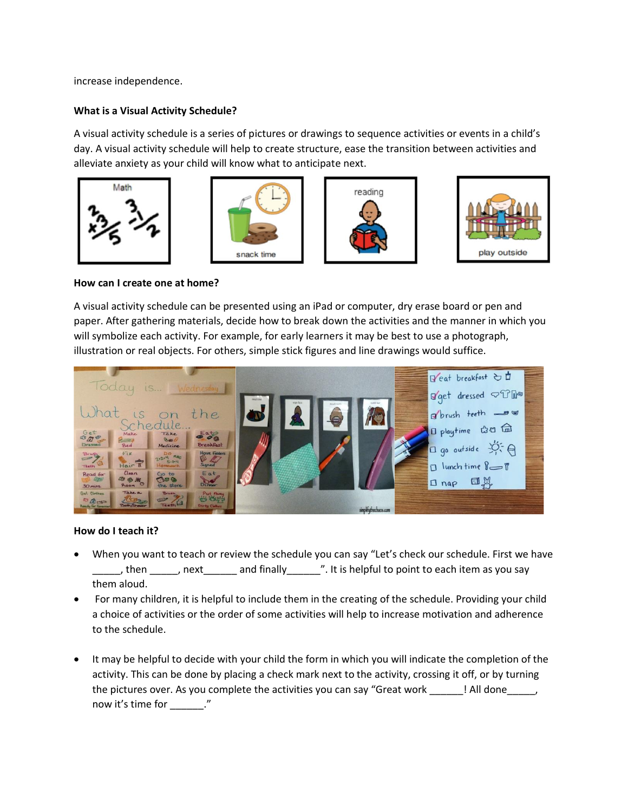increase independence.

### **What is a Visual Activity Schedule?**

A visual activity schedule is a series of pictures or drawings to sequence activities or events in a child's day. A visual activity schedule will help to create structure, ease the transition between activities and alleviate anxiety as your child will know what to anticipate next.









### **How can I create one at home?**

A visual activity schedule can be presented using an iPad or computer, dry erase board or pen and paper. After gathering materials, decide how to break down the activities and the manner in which you will symbolize each activity. For example, for early learners it may be best to use a photograph, illustration or real objects. For others, simple stick figures and line drawings would suffice.



### **How do I teach it?**

- When you want to teach or review the schedule you can say "Let's check our schedule. First we have Letting then Letting and finally and the point to each item as you say them aloud.
- For many children, it is helpful to include them in the creating of the schedule. Providing your child a choice of activities or the order of some activities will help to increase motivation and adherence to the schedule.
- It may be helpful to decide with your child the form in which you will indicate the completion of the activity. This can be done by placing a check mark next to the activity, crossing it off, or by turning the pictures over. As you complete the activities you can say "Great work Fig. 1.1. All done  $\frac{1}{2}$ , now it's time for \_\_\_\_\_\_\_."